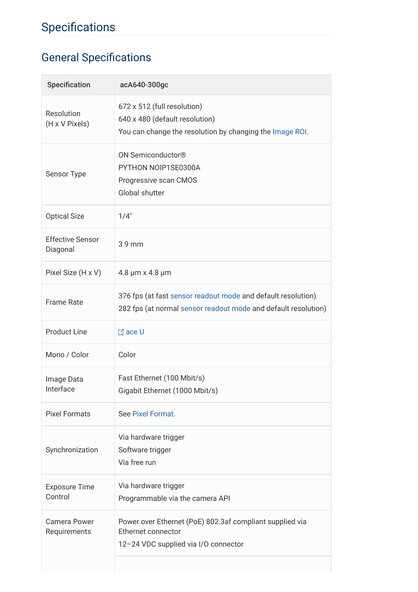# Specifications

# General Specifications

| Specification                       | acA640-300gc                                                                                                                   |
|-------------------------------------|--------------------------------------------------------------------------------------------------------------------------------|
| Resolution<br>(H x V Pixels)        | 672 x 512 (full resolution)<br>640 x 480 (default resolution)<br>You can change the resolution by changing the Image ROI.      |
| Sensor Type                         | ON Semiconductor <sup>®</sup><br>PYTHON NOIP1SE0300A<br>Progressive scan CMOS<br>Global shutter                                |
| <b>Optical Size</b>                 | 1/4"                                                                                                                           |
| <b>Effective Sensor</b><br>Diagonal | 3.9 mm                                                                                                                         |
| Pixel Size (H x V)                  | 4.8 µm x 4.8 µm                                                                                                                |
| <b>Frame Rate</b>                   | 376 fps (at fast sensor readout mode and default resolution)<br>282 fps (at normal sensor readout mode and default resolution) |
| <b>Product Line</b>                 | <b>⊠</b> ace U                                                                                                                 |
| Mono / Color                        | Color                                                                                                                          |
| Image Data<br>Interface             | Fast Ethernet (100 Mbit/s)<br>Gigabit Ethernet (1000 Mbit/s)                                                                   |
| <b>Pixel Formats</b>                | See Pixel Format.                                                                                                              |
| Synchronization                     | Via hardware trigger<br>Software trigger<br>Via free run                                                                       |
| <b>Exposure Time</b><br>Control     | Via hardware trigger<br>Programmable via the camera API                                                                        |
| <b>Camera Power</b><br>Requirements | Power over Ethernet (PoE) 802.3af compliant supplied via<br>Ethernet connector<br>12-24 VDC supplied via I/O connector         |
|                                     |                                                                                                                                |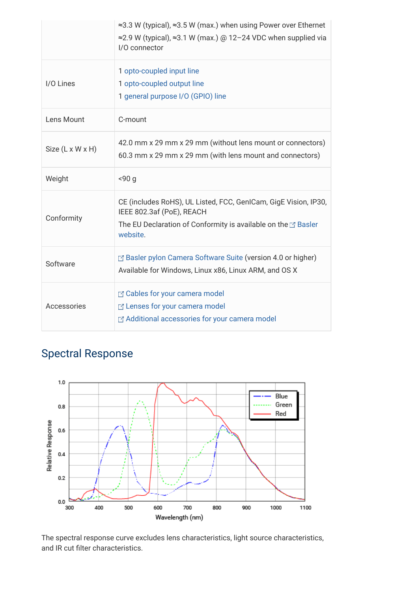|                  | ≈3.3 W (typical), ≈3.5 W (max.) when using Power over Ethernet<br>$\approx$ 2.9 W (typical), $\approx$ 3.1 W (max.) @ 12-24 VDC when supplied via<br>I/O connector         |
|------------------|----------------------------------------------------------------------------------------------------------------------------------------------------------------------------|
| I/O Lines        | 1 opto-coupled input line<br>1 opto-coupled output line<br>1 general purpose I/O (GPIO) line                                                                               |
| Lens Mount       | C-mount                                                                                                                                                                    |
| Size (L x W x H) | 42.0 mm x 29 mm x 29 mm (without lens mount or connectors)<br>60.3 mm x 29 mm x 29 mm (with lens mount and connectors)                                                     |
| Weight           | < 90q                                                                                                                                                                      |
| Conformity       | CE (includes RoHS), UL Listed, FCC, GenICam, GigE Vision, IP30,<br>IEEE 802.3af (PoE), REACH<br>The EU Declaration of Conformity is available on the E' Basler<br>website. |
| Software         | Basler pylon Camera Software Suite (version 4.0 or higher)<br>Available for Windows, Linux x86, Linux ARM, and OS X                                                        |
| Accessories      | E' Cables for your camera model<br>E Lenses for your camera model<br>Additional accessories for your camera model                                                          |

# Spectral Response



The spectral response curve excludes lens characteristics, light source characteristics, and IR cut filter characteristics.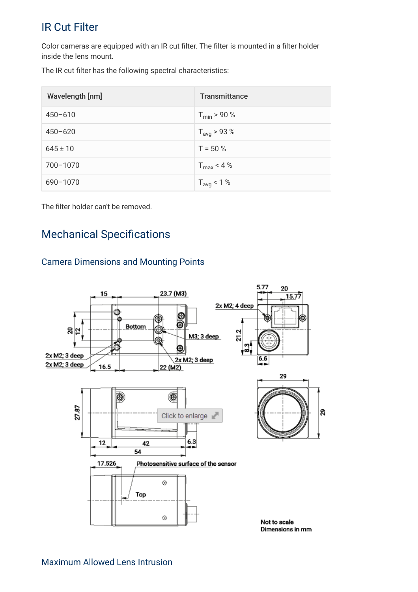### IR Cut Filter

Color cameras are equipped with an IR cut filter. The filter is mounted in a filter holder inside the lens mount.

The IR cut filter has the following spectral characteristics:

| Wavelength [nm] | <b>Transmittance</b>    |
|-----------------|-------------------------|
| $450 - 610$     | $T_{\text{min}}$ > 90 % |
| $450 - 620$     | $T_{avg}$ > 93 %        |
| $645 \pm 10$    | $T = 50 %$              |
| 700-1070        | $T_{\text{max}}$ < 4 %  |
| 690-1070        | $T_{avg}$ < 1 %         |

The filter holder can't be removed.

### **Mechanical Specifications**

#### Camera Dimensions and Mounting Points

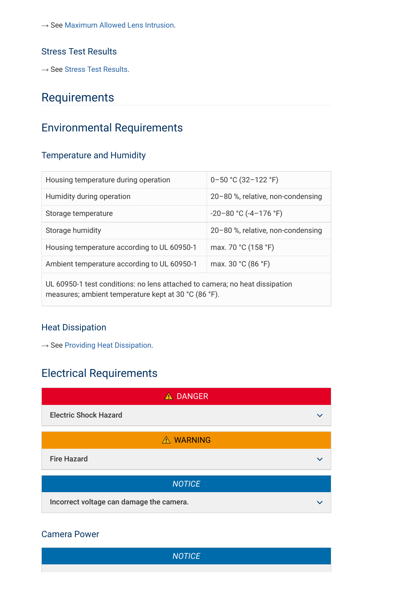$\rightarrow$  See [Maximum Allowed Lens Intrusion](file:///C:/Users/AltaVision/Desktop/AW00140608000_Basler_Product_Documentation_ace_gige_ace_usb_dart_usb_pulse_usb/files/en/maximum_allowed_lens_intrusion.htm).

#### Stress Test Results

 $\rightarrow$  See [Stress Test Results](file:///C:/Users/AltaVision/Desktop/AW00140608000_Basler_Product_Documentation_ace_gige_ace_usb_dart_usb_pulse_usb/files/en/stress_test_results.htm).

### Requirements

### Environmental Requirements

#### Temperature and Humidity

| Housing temperature during operation                                                                                                | $0 - 50$ °C (32-122 °F)           |  |
|-------------------------------------------------------------------------------------------------------------------------------------|-----------------------------------|--|
| Humidity during operation                                                                                                           | 20-80 %, relative, non-condensing |  |
| Storage temperature                                                                                                                 | $-20-80$ °C ( $-4-176$ °F)        |  |
| Storage humidity                                                                                                                    | 20-80 %, relative, non-condensing |  |
| Housing temperature according to UL 60950-1                                                                                         | max. 70 °C (158 °F)               |  |
| Ambient temperature according to UL 60950-1                                                                                         | max. 30 °C (86 °F)                |  |
| UL 60950-1 test conditions: no lens attached to camera; no heat dissipation<br>measures; ambient temperature kept at 30 °C (86 °F). |                                   |  |

#### Heat Dissipation

 $\rightarrow$  See [Providing Heat Dissipation.](file:///C:/Users/AltaVision/Desktop/AW00140608000_Basler_Product_Documentation_ace_gige_ace_usb_dart_usb_pulse_usb/files/en/providing_heat_dissipation_(ace_cameras).htm)

### Electrical Requirements



#### Camera Power

**NOTICE**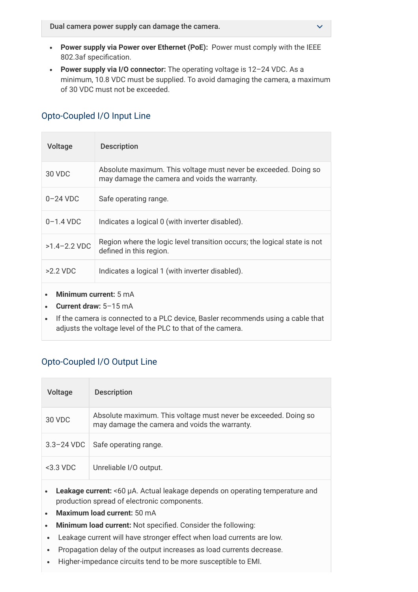- Power supply via Power over Ethernet (PoE): Power must comply with the IEEE 802.3af specification.
- Power supply via I/O connector: The operating voltage is 12-24 VDC. As a minimum, 10.8 VDC must be supplied. To avoid damaging the camera, a maximum of 30 VDC must not be exceeded.

| Voltage                                               | <b>Description</b>                                                                                               |
|-------------------------------------------------------|------------------------------------------------------------------------------------------------------------------|
| 30 VDC                                                | Absolute maximum. This voltage must never be exceeded. Doing so<br>may damage the camera and voids the warranty. |
| $0-24$ VDC                                            | Safe operating range.                                                                                            |
| $0 - 1.4$ VDC                                         | Indicates a logical 0 (with inverter disabled).                                                                  |
| $>1.4 - 2.2$ VDC                                      | Region where the logic level transition occurs; the logical state is not<br>defined in this region.              |
| $>2.2$ VDC                                            | Indicates a logical 1 (with inverter disabled).                                                                  |
| <b>Minimum current:</b> 5 mA<br>Current draw: 5-15 mA |                                                                                                                  |

#### Opto-Coupled I/O Input Line

If the camera is connected to a PLC device, Basler recommends using a cable that adjusts the voltage level of the PLC to that of the camera.

#### Opto-Coupled I/O Output Line

| Voltage        | <b>Description</b>                                                                                               |
|----------------|------------------------------------------------------------------------------------------------------------------|
| 30 VDC         | Absolute maximum. This voltage must never be exceeded. Doing so<br>may damage the camera and voids the warranty. |
| $3.3 - 24$ VDC | Safe operating range.                                                                                            |
| $<$ 3.3 VDC    | Unreliable I/O output.                                                                                           |

- Leakage current: <60 µA. Actual leakage depends on operating temperature and production spread of electronic components.
- Maximum load current: 50 mA
- Minimum load current: Not specified. Consider the following:
- Leakage current will have stronger effect when load currents are low.
- Propagation delay of the output increases as load currents decrease.  $\bullet$
- Higher-impedance circuits tend to be more susceptible to EMI. $\bullet$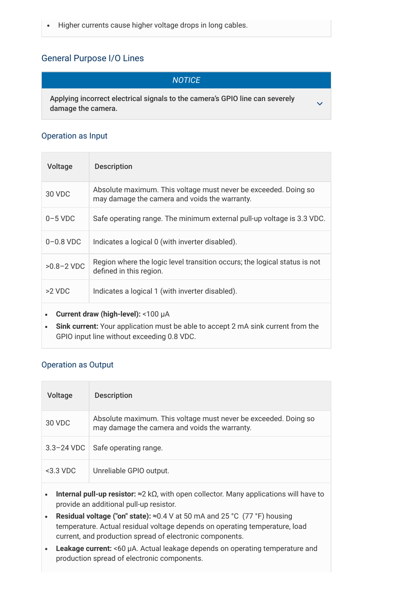#### General Purpose I/O Lines

#### **NOTICE**

 $\checkmark$ 

Applying incorrect electrical signals to the camera's GPIO line can severely damage the camera.

#### Operation as Input

| Voltage                                      | <b>Description</b>                                                                                               |
|----------------------------------------------|------------------------------------------------------------------------------------------------------------------|
| 30 VDC                                       | Absolute maximum. This voltage must never be exceeded. Doing so<br>may damage the camera and voids the warranty. |
| $0-5$ VDC                                    | Safe operating range. The minimum external pull-up voltage is 3.3 VDC.                                           |
| $0-0.8$ VDC                                  | Indicates a logical 0 (with inverter disabled).                                                                  |
| $>0.8 - 2$ VDC                               | Region where the logic level transition occurs; the logical status is not<br>defined in this region.             |
| $>2$ VDC                                     | Indicates a logical 1 (with inverter disabled).                                                                  |
| Current draw (high-level): <100 $\mu$ A<br>٠ |                                                                                                                  |

 $\bullet$ Sink current: Your application must be able to accept 2 mA sink current from the GPIO input line without exceeding 0.8 VDC.

#### Operation as Output

| Voltage                                                                                                                                                                                                                                                                                                                                                                                               | <b>Description</b>                                                                                               |  |
|-------------------------------------------------------------------------------------------------------------------------------------------------------------------------------------------------------------------------------------------------------------------------------------------------------------------------------------------------------------------------------------------------------|------------------------------------------------------------------------------------------------------------------|--|
| 30 VDC                                                                                                                                                                                                                                                                                                                                                                                                | Absolute maximum. This voltage must never be exceeded. Doing so<br>may damage the camera and voids the warranty. |  |
| $3.3 - 24$ VDC                                                                                                                                                                                                                                                                                                                                                                                        | Safe operating range.                                                                                            |  |
| $<$ 3.3 VDC                                                                                                                                                                                                                                                                                                                                                                                           | Unreliable GPIO output.                                                                                          |  |
| <b>Internal pull-up resistor:</b> $\approx$ 2 k $\Omega$ , with open collector. Many applications will have to<br>٠<br>provide an additional pull-up resistor.<br><b>Residual voltage ("on" state):</b> $\approx 0.4$ V at 50 mA and 25 °C (77 °F) housing<br>temperature. Actual residual voltage depends on operating temperature, load<br>current, and production spread of electronic components. |                                                                                                                  |  |
| <b>Leakage current:</b> <60 µA. Actual leakage depends on operating temperature and<br>production spread of electronic components.                                                                                                                                                                                                                                                                    |                                                                                                                  |  |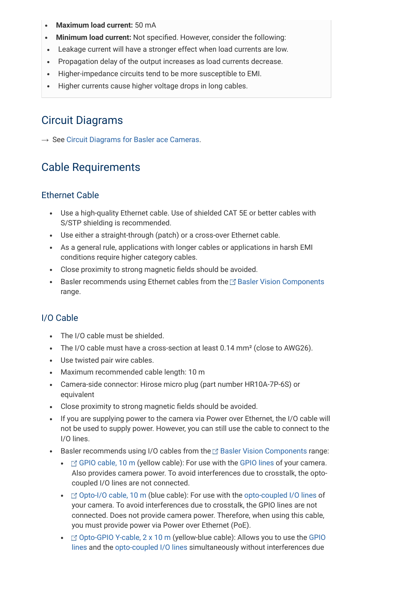- Maximum load current: 50 mA
- Minimum load current: Not specified. However, consider the following:
- Leakage current will have a stronger effect when load currents are low.
- Propagation delay of the output increases as load currents decrease.
- Higher-impedance circuits tend to be more susceptible to EMI.  $\bullet$
- Higher currents cause higher voltage drops in long cables.  $\bullet$

### Circuit Diagrams

 $\rightarrow$  See [Circuit Diagrams for Basler ace Cameras](file:///C:/Users/AltaVision/Desktop/AW00140608000_Basler_Product_Documentation_ace_gige_ace_usb_dart_usb_pulse_usb/files/en/circuit_diagrams_(ace_cameras).htm).

### Cable Requirements

#### Ethernet Cable

- Use a high-quality Ethernet cable. Use of shielded CAT 5E or better cables with S/STP shielding is recommended.
- Use either a straight-through (patch) or a cross-over Ethernet cable.
- As a general rule, applications with longer cables or applications in harsh EMI conditions require higher category cables.
- Close proximity to strong magnetic fields should be avoided.
- Basler recommends using Ethernet cables from the  $\boxtimes$  [Basler Vision Components](https://www.baslerweb.com/en/products/vision-components/)  $\bullet$ range.

#### I/O Cable

- The I/O cable must be shielded.
- The I/O cable must have a cross-section at least 0.14 mm² (close to AWG26).
- Use twisted pair wire cables.
- Maximum recommended cable length: 10 m
- Camera-side connector: Hirose micro plug (part number HR10A-7P-6S) or equivalent
- Close proximity to strong magnetic fields should be avoided.
- If you are supplying power to the camera via Power over Ethernet, the I/O cable will not be used to supply power. However, you can still use the cable to connect to the I/O lines.
- Basler recommends using I/O cables from the  $\mathbb{Z}$  [Basler Vision Components](https://www.baslerweb.com/en/products/vision-components/) range:
	- $\bullet$   $\Box$  [GPIO cable, 10 m](https://www.baslerweb.com/en/products/vision-components/cable/gp-i-o-cable-6p-open-10-m/) (yellow cable): For use with the [GPIO lines](file:///C:/Users/AltaVision/Desktop/AW00140608000_Basler_Product_Documentation_ace_gige_ace_usb_dart_usb_pulse_usb/files/en/general_purpose_i_o_(gpio)_lines.htm) of your camera. Also provides camera power. To avoid interferences due to crosstalk, the optocoupled I/O lines are not connected.
	- $\bullet$   $\Box$  [Opto-I/O cable, 10 m](https://www.baslerweb.com/en/products/vision-components/cable/opto-i-o-cable-6p-open-10-m/) (blue cable): For use with the [opto-coupled I/O lines](file:///C:/Users/AltaVision/Desktop/AW00140608000_Basler_Product_Documentation_ace_gige_ace_usb_dart_usb_pulse_usb/files/en/opto-coupled_i_o_lines.htm) of your camera. To avoid interferences due to crosstalk, the GPIO lines are not connected. Does not provide camera power. Therefore, when using this cable, you must provide power via Power over Ethernet (PoE).
	- [Opto-GPIO Y-cable, 2 x 10](https://www.baslerweb.com/en/products/vision-components/cable/opto-gp-i-o-y-cable-6p-open-2-x-10-m/) [m \(yellow-blue cable\): Allows you to use the GPIO](file:///C:/Users/AltaVision/Desktop/AW00140608000_Basler_Product_Documentation_ace_gige_ace_usb_dart_usb_pulse_usb/files/en/general_purpose_i_o_(gpio)_lines.htm) lines and the [opto-coupled I/O lines](file:///C:/Users/AltaVision/Desktop/AW00140608000_Basler_Product_Documentation_ace_gige_ace_usb_dart_usb_pulse_usb/files/en/opto-coupled_i_o_lines.htm) simultaneously without interferences due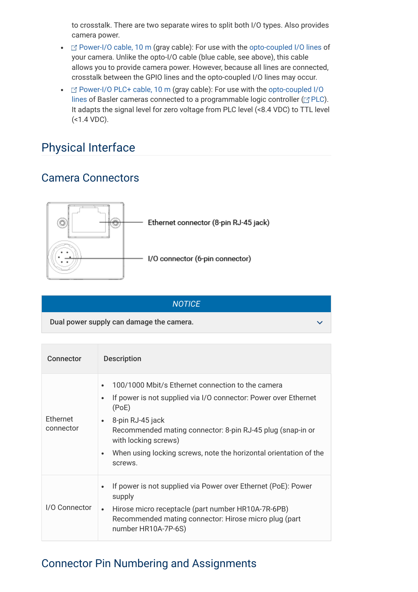to crosstalk. There are two separate wires to split both I/O types. Also provides camera power.

- $\Box$  [Power-I/O cable, 10 m](https://www.baslerweb.com/en/products/vision-components/cable/power-i-o-cable-hrs-6p-open-twisted-10-m/) (gray cable): For use with the [opto-coupled I/O lines](file:///C:/Users/AltaVision/Desktop/AW00140608000_Basler_Product_Documentation_ace_gige_ace_usb_dart_usb_pulse_usb/files/en/opto-coupled_i_o_lines.htm) of your camera. Unlike the opto-I/O cable (blue cable, see above), this cable allows you to provide camera power. However, because all lines are connected, crosstalk between the GPIO lines and the opto-coupled I/O lines may occur.
- $\Box$  [Power-I/O PLC+ cable, 10 m](https://www.baslerweb.com/en/products/vision-components/cable/power-i-o-plc-cable-6p-open-10-m/) [\(gray cable\): For use with the opto-coupled I/O](file:///C:/Users/AltaVision/Desktop/AW00140608000_Basler_Product_Documentation_ace_gige_ace_usb_dart_usb_pulse_usb/files/en/opto-coupled_i_o_lines.htm) lines of Basler cameras connected to a programmable logic controller ( $\textcolor{red}{\boxtimes}\textcolor{blue}{\text{PLC}}$ ). It adapts the signal level for zero voltage from PLC level (<8.4 VDC) to TTL level (<1.4 VDC).

### Physical Interface

### Camera Connectors



| <b>NOTICE</b>                            |  |
|------------------------------------------|--|
| Dual power supply can damage the camera. |  |

| <b>Connector</b>      | <b>Description</b>                                                                                                                                                                                                                                                                                                                                                          |
|-----------------------|-----------------------------------------------------------------------------------------------------------------------------------------------------------------------------------------------------------------------------------------------------------------------------------------------------------------------------------------------------------------------------|
| Ethernet<br>connector | 100/1000 Mbit/s Ethernet connection to the camera<br>$\bullet$<br>If power is not supplied via I/O connector: Power over Ethernet<br>$\bullet$<br>(PoE)<br>8-pin RJ-45 jack<br>$\bullet$<br>Recommended mating connector: 8-pin RJ-45 plug (snap-in or<br>with locking screws)<br>When using locking screws, note the horizontal orientation of the<br>$\bullet$<br>screws. |
| I/O Connector         | If power is not supplied via Power over Ethernet (PoE): Power<br>$\bullet$<br>supply<br>Hirose micro receptacle (part number HR10A-7R-6PB)<br>$\bullet$<br>Recommended mating connector: Hirose micro plug (part<br>number HR10A-7P-6S)                                                                                                                                     |

### Connector Pin Numbering and Assignments